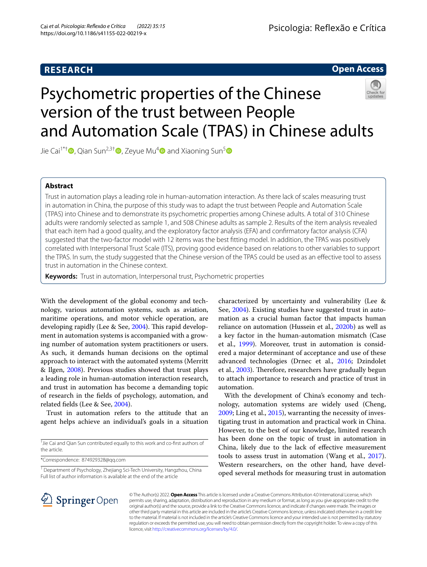# **RESEARCH**

# **Open Access**

# Psychometric properties of the Chinese version of the trust between People and Automation Scale (TPAS) in Chinese adults



Jie Cai<sup>1\*[†](https://orcid.org/0000-0003-4294-9276)</sup> , Qian Sun<sup>2,3†</sup> , Zeyue Mu<sup>4</sup> and Xiaoning Sun<sup>5</sup>

## **Abstract**

Trust in automation plays a leading role in human-automation interaction. As there lack of scales measuring trust in automation in China, the purpose of this study was to adapt the trust between People and Automation Scale (TPAS) into Chinese and to demonstrate its psychometric properties among Chinese adults. A total of 310 Chinese adults were randomly selected as sample 1, and 508 Chinese adults as sample 2. Results of the item analysis revealed that each item had a good quality, and the exploratory factor analysis (EFA) and confrmatory factor analysis (CFA) suggested that the two-factor model with 12 items was the best ftting model. In addition, the TPAS was positively correlated with Interpersonal Trust Scale (ITS), proving good evidence based on relations to other variables to support the TPAS. In sum, the study suggested that the Chinese version of the TPAS could be used as an efective tool to assess trust in automation in the Chinese context.

**Keywords:** Trust in automation, Interpersonal trust, Psychometric properties

With the development of the global economy and technology, various automation systems, such as aviation, maritime operations, and motor vehicle operation, are developing rapidly (Lee & See, [2004](#page-6-0)). This rapid development in automation systems is accompanied with a growing number of automation system practitioners or users. As such, it demands human decisions on the optimal approach to interact with the automated systems (Merritt & Ilgen, [2008](#page-6-1)). Previous studies showed that trust plays a leading role in human-automation interaction research, and trust in automation has become a demanding topic of research in the felds of psychology, automation, and related felds (Lee & See, [2004\)](#page-6-0).

Trust in automation refers to the attitude that an agent helps achieve an individual's goals in a situation

† Jie Cai and Qian Sun contributed equally to this work and co-frst authors of the article.

\*Correspondence: 874929328@qq.com

<sup>1</sup> Department of Psychology, Zhejiang Sci-Tech University, Hangzhou, China Full list of author information is available at the end of the article

characterized by uncertainty and vulnerability (Lee & See, [2004\)](#page-6-0). Existing studies have suggested trust in automation as a crucial human factor that impacts human reliance on automation (Hussein et al., [2020b](#page-6-2)) as well as a key factor in the human-automation mismatch (Case et al., [1999\)](#page-5-0). Moreover, trust in automation is considered a major determinant of acceptance and use of these advanced technologies (Drnec et al., [2016](#page-6-3); Dzindolet et al., [2003](#page-6-4)). Therefore, researchers have gradually begun to attach importance to research and practice of trust in automation.

With the development of China's economy and technology, automation systems are widely used (Cheng, [2009](#page-5-1); Ling et al., [2015\)](#page-6-5), warranting the necessity of investigating trust in automation and practical work in China. However, to the best of our knowledge, limited research has been done on the topic of trust in automation in China, likely due to the lack of efective measurement tools to assess trust in automation (Wang et al., [2017](#page-6-6)). Western researchers, on the other hand, have developed several methods for measuring trust in automation



© The Author(s) 2022. **Open Access** This article is licensed under a Creative Commons Attribution 4.0 International License, which permits use, sharing, adaptation, distribution and reproduction in any medium or format, as long as you give appropriate credit to the original author(s) and the source, provide a link to the Creative Commons licence, and indicate if changes were made. The images or other third party material in this article are included in the article's Creative Commons licence, unless indicated otherwise in a credit line to the material. If material is not included in the article's Creative Commons licence and your intended use is not permitted by statutory regulation or exceeds the permitted use, you will need to obtain permission directly from the copyright holder. To view a copy of this licence, visit [http://creativecommons.org/licenses/by/4.0/.](http://creativecommons.org/licenses/by/4.0/)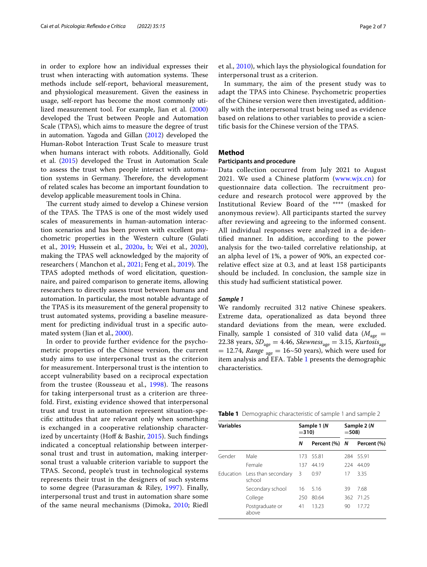in order to explore how an individual expresses their trust when interacting with automation systems. These methods include self-report, behavioral measurement, and physiological measurement. Given the easiness in usage, self-report has become the most commonly utilized measurement tool. For example, Jian et al. ([2000](#page-6-7)) developed the Trust between People and Automation Scale (TPAS), which aims to measure the degree of trust in automation. Yagoda and Gillan [\(2012](#page-6-8)) developed the Human-Robot Interaction Trust Scale to measure trust when humans interact with robots. Additionally, Gold et al. ([2015](#page-6-9)) developed the Trust in Automation Scale to assess the trust when people interact with automation systems in Germany. Therefore, the development of related scales has become an important foundation to develop applicable measurement tools in China.

The current study aimed to develop a Chinese version of the TPAS. The TPAS is one of the most widely used scales of measurements in human-automation interaction scenarios and has been proven with excellent psychometric properties in the Western culture (Gulati et al., [2019;](#page-6-10) Hussein et al., [2020a](#page-6-11), [b;](#page-6-2) Wei et al., [2020](#page-6-12)), making the TPAS well acknowledged by the majority of researchers (Manchon et al., [2021;](#page-6-13) Feng et al., [2019](#page-6-14)). The TPAS adopted methods of word elicitation, questionnaire, and paired comparison to generate items, allowing researchers to directly assess trust between humans and automation. In particular, the most notable advantage of the TPAS is its measurement of the general propensity to trust automated systems, providing a baseline measurement for predicting individual trust in a specifc automated system (Jian et al., [2000](#page-6-7)).

In order to provide further evidence for the psychometric properties of the Chinese version, the current study aims to use interpersonal trust as the criterion for measurement. Interpersonal trust is the intention to accept vulnerability based on a reciprocal expectation from the trustee (Rousseau et al.,  $1998$ ). The reasons for taking interpersonal trust as a criterion are threefold. First, existing evidence showed that interpersonal trust and trust in automation represent situation-specifc attitudes that are relevant only when something is exchanged in a cooperative relationship character-ized by uncertainty (Hoff & Bashir, [2015\)](#page-6-16). Such findings indicated a conceptual relationship between interpersonal trust and trust in automation, making interpersonal trust a valuable criterion variable to support the TPAS. Second, people's trust in technological systems represents their trust in the designers of such systems to some degree (Parasuraman & Riley, [1997\)](#page-6-17). Finally, interpersonal trust and trust in automation share some of the same neural mechanisms (Dimoka, [2010](#page-6-18); Riedl et al., [2010\)](#page-6-19), which lays the physiological foundation for interpersonal trust as a criterion.

In summary, the aim of the present study was to adapt the TPAS into Chinese. Psychometric properties of the Chinese version were then investigated, additionally with the interpersonal trust being used as evidence based on relations to other variables to provide a scientifc basis for the Chinese version of the TPAS.

## **Method**

## **Participants and procedure**

Data collection occurred from July 2021 to August 2021. We used a Chinese platform [\(www.wjx.cn\)](http://www.wjx.cn) for questionnaire data collection. The recruitment procedure and research protocol were approved by the Institutional Review Board of the \*\*\*\* (masked for anonymous review). All participants started the survey after reviewing and agreeing to the informed consent. All individual responses were analyzed in a de-identifed manner. In addition, according to the power analysis for the two-tailed correlative relationship, at an alpha level of 1%, a power of 90%, an expected correlative efect size at 0.3, and at least 158 participants should be included. In conclusion, the sample size in this study had sufficient statistical power.

## *Sample 1*

We randomly recruited 312 native Chinese speakers. Extreme data, operationalized as data beyond three standard deviations from the mean, were excluded. Finally, sample 1 consisted of 310 valid data ( $M_{\text{age}} =$ 22.38 years,  $SD_{\text{age}} = 4.46$ , *Skewness*<sub>age</sub> = 3.15, *Kurtosis*<sub>age</sub>  $= 12.74$ , *Range* <sub>age</sub>  $= 16~50$  years), which were used for item analysis and EFA. Table [1](#page-1-0) presents the demographic characteristics.

<span id="page-1-0"></span>

| <b>Variables</b> |                                         | Sample 1 (N<br>$= 310$ |               | Sample 2 (N<br>$=508$ |             |
|------------------|-----------------------------------------|------------------------|---------------|-----------------------|-------------|
|                  |                                         | Ν                      | Percent (%) N |                       | Percent (%) |
| Gender           | Male                                    | 173.                   | 55.81         | 284                   | 55.91       |
|                  | Female                                  | 137                    | 44.19         | 224                   | 44.09       |
|                  | Education Less than secondary<br>school | 3                      | 0.97          | 17                    | 3.35        |
|                  | Secondary school                        | 16                     | 5.16          | 39                    | 7.68        |
|                  | College                                 | 250                    | 80.64         | 362                   | 71.25       |
|                  | Postgraduate or<br>above                | 41                     | 13.23         | 90                    | 1772        |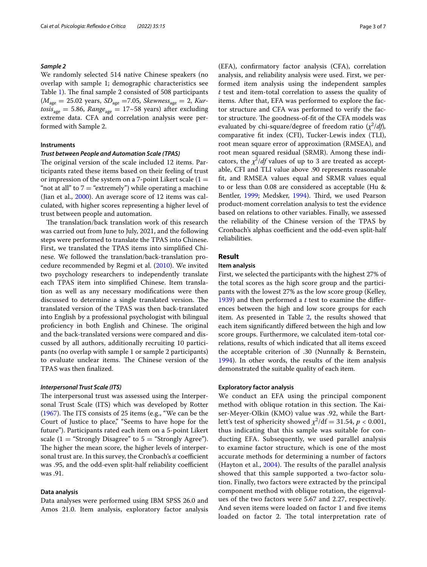## *Sample 2*

We randomly selected 514 native Chinese speakers (no overlap with sample 1; demographic characteristics see Table [1\)](#page-1-0). The final sample 2 consisted of 508 participants (*M*age = 25.02 years, *SD*age =7.05, *Skewness*age = 2, *Kur-* $\textit{tosis}_{\textsf{age}} = 5.86$ ,  $\textit{Range}_{\textsf{age}} = 17 \text{~}58$  years) after excluding extreme data. CFA and correlation analysis were performed with Sample 2.

## **Instruments**

## *Trust between People and Automation Scale (TPAS)*

The original version of the scale included 12 items. Participants rated these items based on their feeling of trust or impression of the system on a 7-point Likert scale  $(1 =$ "not at all" to  $7 =$  "extremely") while operating a machine (Jian et al., [2000](#page-6-7)). An average score of 12 items was calculated, with higher scores representing a higher level of trust between people and automation.

The translation/back translation work of this research was carried out from June to July, 2021, and the following steps were performed to translate the TPAS into Chinese. First, we translated the TPAS items into simplifed Chinese. We followed the translation/back-translation procedure recommended by Regmi et al. ([2010](#page-6-20)). We invited two psychology researchers to independently translate each TPAS item into simplifed Chinese. Item translation as well as any necessary modifcations were then discussed to determine a single translated version. The translated version of the TPAS was then back-translated into English by a professional psychologist with bilingual proficiency in both English and Chinese. The original and the back-translated versions were compared and discussed by all authors, additionally recruiting 10 participants (no overlap with sample 1 or sample 2 participants) to evaluate unclear items. The Chinese version of the TPAS was then fnalized.

#### *Interpersonal Trust Scale (ITS)*

The interpersonal trust was assessed using the Interpersonal Trust Scale (ITS) which was developed by Rotter ([1967\)](#page-6-21). The ITS consists of 25 items (e.g., "We can be the Court of Justice to place," "Seems to have hope for the future"). Participants rated each item on a 5-point Likert scale (1 = "Strongly Disagree" to  $5$  = "Strongly Agree"). The higher the mean score, the higher levels of interpersonal trust are. In this survey, the Cronbach's *α* coefficient was .95, and the odd-even split-half reliability coefficient was .91.

## **Data analysis**

Data analyses were performed using IBM SPSS 26.0 and Amos 21.0. Item analysis, exploratory factor analysis (EFA), confrmatory factor analysis (CFA), correlation analysis, and reliability analysis were used. First, we performed item analysis using the independent samples *t* test and item-total correlation to assess the quality of items. After that, EFA was performed to explore the factor structure and CFA was performed to verify the factor structure. The goodness-of-fit of the CFA models was evaluated by chi-square/degree of freedom ratio  $(\chi^2/df)$ , comparative ft index (CFI), Tucker-Lewis index (TLI), root mean square error of approximation (RMSEA), and root mean squared residual (SRMR). Among these indicators, the  $\chi^2$ /*df* values of up to 3 are treated as acceptable, CFI and TLI value above .90 represents reasonable ft, and RMSEA values equal and SRMR values equal to or less than 0.08 are considered as acceptable (Hu & Bentler, [1999](#page-6-22); Medsker, [1994](#page-6-23)). Third, we used Pearson product-moment correlation analysis to test the evidence based on relations to other variables. Finally, we assessed the reliability of the Chinese version of the TPAS by Cronbach's alphas coefficient and the odd-even split-half reliabilities.

## **Result**

## **Item analysis**

First, we selected the participants with the highest 27% of the total scores as the high score group and the participants with the lowest 27% as the low score group (Kelley, [1939](#page-6-24)) and then performed a *t* test to examine the diferences between the high and low score groups for each item. As presented in Table [2](#page-3-0), the results showed that each item signifcantly difered between the high and low score groups. Furthermore, we calculated item-total correlations, results of which indicated that all items exceed the acceptable criterion of .30 (Nunnally & Bernstein, [1994](#page-6-25)). In other words, the results of the item analysis demonstrated the suitable quality of each item.

#### **Exploratory factor analysis**

We conduct an EFA using the principal component method with oblique rotation in this section. The Kaiser-Meyer-Olkin (KMO) value was .92, while the Bartlett's test of sphericity showed  $\chi^2/\text{df} = 31.54$ ,  $p < 0.001$ , thus indicating that this sample was suitable for conducting EFA. Subsequently, we used parallel analysis to examine factor structure, which is one of the most accurate methods for determining a number of factors (Hayton et al.,  $2004$ ). The results of the parallel analysis showed that this sample supported a two-factor solution. Finally, two factors were extracted by the principal component method with oblique rotation, the eigenvalues of the two factors were 5.67 and 2.27, respectively. And seven items were loaded on factor 1 and fve items loaded on factor 2. The total interpretation rate of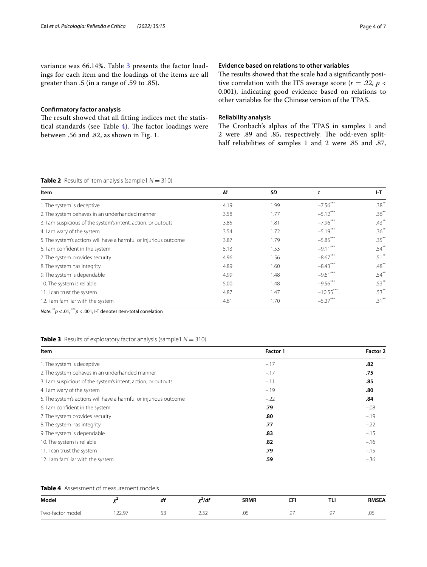variance was 66.14%. Table [3](#page-3-1) presents the factor loadings for each item and the loadings of the items are all greater than .5 (in a range of .59 to .85).

## **Confrmatory factor analysis**

The result showed that all fitting indices met the statistical standards (see Table  $4$ ). The factor loadings were between .56 and .82, as shown in Fig. [1.](#page-4-0)

## **Evidence based on relations to other variables**

The results showed that the scale had a significantly positive correlation with the ITS average score ( $r = .22$ ,  $p <$ 0.001), indicating good evidence based on relations to other variables for the Chinese version of the TPAS.

## **Reliability analysis**

The Cronbach's alphas of the TPAS in samples 1 and 2 were .89 and .85, respectively. The odd-even splithalf reliabilities of samples 1 and 2 were .85 and .87,

## <span id="page-3-0"></span>**Table 2** Results of item analysis (sample1  $N = 310$ )

| Item                                                             | М    | SD   | t                      | ŀТ       |
|------------------------------------------------------------------|------|------|------------------------|----------|
| 1. The system is deceptive                                       | 4.19 | 1.99 | $-7.56***$             | $.38***$ |
| 2. The system behaves in an underhanded manner                   | 3.58 | 1.77 | $-5.12***$             | $.36***$ |
| 3. I am suspicious of the system's intent, action, or outputs    | 3.85 | 1.81 | $-7.96$ <sup>***</sup> | $.43***$ |
| 4. I am wary of the system                                       | 3.54 | 1.72 | $-5.19***$             | $.36***$ |
| 5. The system's actions will have a harmful or injurious outcome | 3.87 | 1.79 | $-5.85***$             | $.35***$ |
| 6. I am confident in the system                                  | 5.13 | 1.53 | $-9.11***$             | $.54***$ |
| 7. The system provides security                                  | 4.96 | 1.56 | $-8.67***$             | $.51***$ |
| 8. The system has integrity                                      | 4.89 | 1.60 | $-8.43***$             | $.48***$ |
| 9. The system is dependable                                      | 4.99 | 1.48 | $-9.61$                | $.54***$ |
| 10. The system is reliable                                       | 5.00 | 1.48 | $-9.56$ ***            | $.53***$ |
| 11. I can trust the system                                       | 4.87 | 1.47 | $-10.55***$            | $.53***$ |
| 12. I am familiar with the system                                | 4.61 | 1.70 | $-5.27$ <sup>**</sup>  | $.31***$ |

*Note*: \*\**p* < .01, \*\*\**p* < .001; I-T denotes item-total correlation

## <span id="page-3-1"></span>**Table 3** Results of exploratory factor analysis (sample1  $N = 310$ )

| Item                                                             | Factor 1 | Factor 2 |  |
|------------------------------------------------------------------|----------|----------|--|
| 1. The system is deceptive                                       | $-.17$   | .82      |  |
| 2. The system behaves in an underhanded manner                   | $-.17$   | .75      |  |
| 3. I am suspicious of the system's intent, action, or outputs    | $-.11$   | .85      |  |
| 4. I am wary of the system                                       | $-.19$   | .80      |  |
| 5. The system's actions will have a harmful or injurious outcome | $-.22$   | .84      |  |
| 6. I am confident in the system                                  | .79      | $-.08$   |  |
| 7. The system provides security                                  | .80      | $-.19$   |  |
| 8. The system has integrity                                      | .77      | $-.22$   |  |
| 9. The system is dependable                                      | .83      | $-.15$   |  |
| 10. The system is reliable                                       | .82      | $-.16$   |  |
| 11. I can trust the system                                       | .79      | $-.15$   |  |
| 12. I am familiar with the system                                | .59      | $-.36$   |  |

## <span id="page-3-2"></span>**Table 4** Assessment of measurement models

| Model                    |                                        | aı         | <br>7a)                      | <b>SRMR</b> | ~-<br>ີ       | $\sim$<br>.             | <b>RMSEA</b> |
|--------------------------|----------------------------------------|------------|------------------------------|-------------|---------------|-------------------------|--------------|
| -<br>Two-<br>ctor model\ | $\sim$ $-$<br>$\sim$ $\sim$<br>y.<br>. | $-1$<br>-- | $\sim$ $\sim$ $\sim$<br>ے بے | ں.          | - -<br>u<br>. | $\sim$ $-$<br>$\cdot$ . | $\sim$       |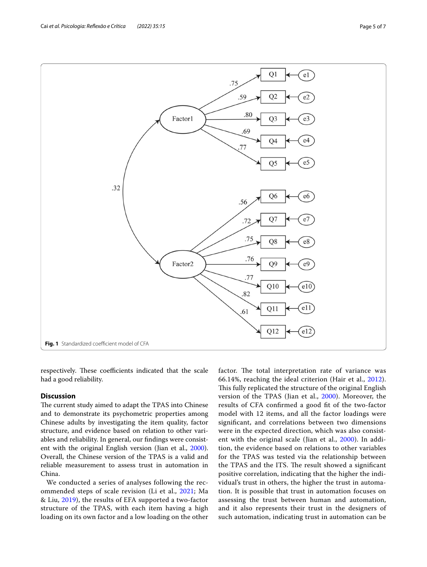<span id="page-4-0"></span>respectively. These coefficients indicated that the scale had a good reliability.

## **Discussion**

The current study aimed to adapt the TPAS into Chinese and to demonstrate its psychometric properties among Chinese adults by investigating the item quality, factor structure, and evidence based on relation to other variables and reliability. In general, our fndings were consistent with the original English version (Jian et al., [2000](#page-6-7)). Overall, the Chinese version of the TPAS is a valid and reliable measurement to assess trust in automation in China.

We conducted a series of analyses following the recommended steps of scale revision (Li et al., [2021;](#page-6-27) Ma & Liu, [2019](#page-6-28)), the results of EFA supported a two-factor structure of the TPAS, with each item having a high loading on its own factor and a low loading on the other factor. The total interpretation rate of variance was 66.14%, reaching the ideal criterion (Hair et al., [2012](#page-6-29)). This fully replicated the structure of the original English version of the TPAS (Jian et al., [2000\)](#page-6-7). Moreover, the results of CFA confrmed a good ft of the two-factor model with 12 items, and all the factor loadings were signifcant, and correlations between two dimensions were in the expected direction, which was also consist-ent with the original scale (Jian et al., [2000](#page-6-7)). In addition, the evidence based on relations to other variables for the TPAS was tested via the relationship between the TPAS and the ITS. The result showed a significant positive correlation, indicating that the higher the individual's trust in others, the higher the trust in automation. It is possible that trust in automation focuses on assessing the trust between human and automation, and it also represents their trust in the designers of such automation, indicating trust in automation can be

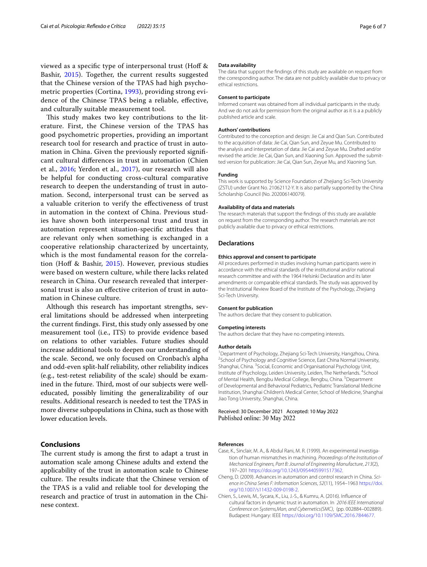viewed as a specifc type of interpersonal trust (Hof & Bashir, [2015\)](#page-6-16). Together, the current results suggested that the Chinese version of the TPAS had high psychometric properties (Cortina, [1993\)](#page-6-30), providing strong evidence of the Chinese TPAS being a reliable, efective, and culturally suitable measurement tool.

This study makes two key contributions to the literature. First, the Chinese version of the TPAS has good psychometric properties, providing an important research tool for research and practice of trust in automation in China. Given the previously reported signifcant cultural diferences in trust in automation (Chien et al., [2016;](#page-5-2) Yerdon et al., [2017\)](#page-6-31), our research will also be helpful for conducting cross-cultural comparative research to deepen the understanding of trust in automation. Second, interpersonal trust can be served as a valuable criterion to verify the efectiveness of trust in automation in the context of China. Previous studies have shown both interpersonal trust and trust in automation represent situation-specifc attitudes that are relevant only when something is exchanged in a cooperative relationship characterized by uncertainty, which is the most fundamental reason for the correlation (Hof & Bashir, [2015\)](#page-6-16). However, previous studies were based on western culture, while there lacks related research in China. Our research revealed that interpersonal trust is also an efective criterion of trust in automation in Chinese culture.

Although this research has important strengths, several limitations should be addressed when interpreting the current fndings. First, this study only assessed by one measurement tool (i.e., ITS) to provide evidence based on relations to other variables. Future studies should increase additional tools to deepen our understanding of the scale. Second, we only focused on Cronbach's alpha and odd-even split-half reliability, other reliability indices (e.g., test-retest reliability of the scale) should be examined in the future. Third, most of our subjects were welleducated, possibly limiting the generalizability of our results. Additional research is needed to test the TPAS in more diverse subpopulations in China, such as those with lower education levels.

## **Conclusions**

The current study is among the first to adapt a trust in automation scale among Chinese adults and extend the applicability of the trust in automation scale to Chinese culture. The results indicate that the Chinese version of the TPAS is a valid and reliable tool for developing the research and practice of trust in automation in the Chinese context.

#### **Data availability**

The data that support the fndings of this study are available on request from the corresponding author. The data are not publicly available due to privacy or ethical restrictions.

#### **Consent to participate**

Informed consent was obtained from all individual participants in the study. And we do not ask for permission from the original author as it is a a publicly published article and scale.

#### **Authors' contributions**

Contributed to the conception and design: Jie Cai and Qian Sun. Contributed to the acquisition of data: Jie Cai, Qian Sun, and Zeyue Mu. Contributed to the analysis and interpretation of data: Jie Cai and Zeyue Mu. Drafted and/or revised the article: Jie Cai, Qian Sun, and Xiaoning Sun. Approved the submitted version for publication: Jie Cai, Qian Sun, Zeyue Mu, and Xiaoning Sun.

## **Funding**

This work is supported by Science Foundation of Zhejiang Sci-Tech University (ZSTU) under Grant No. 21062112-Y. It is also partially supported by the China Scholarship Council (No. 202006140079).

#### **Availability of data and materials**

The research materials that support the fndings of this study are available on request from the corresponding author. The research materials are not publicly available due to privacy or ethical restrictions.

#### **Declarations**

#### **Ethics approval and consent to participate**

All procedures performed in studies involving human participants were in accordance with the ethical standards of the institutional and/or national research committee and with the 1964 Helsinki Declaration and its later amendments or comparable ethical standards. The study was approved by the Institutional Review Board of the Institute of the Psychology, Zhejiang Sci-Tech University.

#### **Consent for publication**

The authors declare that they consent to publication.

# **Competing interests**

The authors declare that they have no competing interests.

#### **Author details**

<sup>1</sup> Department of Psychology, Zhejiang Sci-Tech University, Hangzhou, China.<br><sup>2</sup>School of Psychology and Cognitive Science, East China Normal University. <sup>2</sup> School of Psychology and Cognitive Science, East China Normal University, Shanghai, China. <sup>3</sup> Social, Economic and Organisational Psychology Unit, Institute of Psychology, Leiden University, Leiden, The Netherlands. <sup>4</sup>School of Mental Health, Bengbu Medical College, Bengbu, China.<sup>5</sup> Department of Developmental and Behavioral Pediatrics, Pediatric Translational Medicine Institution, Shanghai Children's Medical Center, School of Medicine, Shanghai Jiao Tong University, Shanghai, China.

## Received: 30 December 2021 Accepted: 10 May 2022 Published online: 30 May 2022

#### **References**

- <span id="page-5-0"></span>Case, K., Sinclair, M. A., & Abdul Rani, M. R. (1999). An experimental investigation of human mismatches in machining. *Proceedings of the Institution of Mechanical Engineers, Part B: Journal of Engineering Manufacture*, *213*(2), 197–201<https://doi.org/10.1243/0954405991517362>.
- <span id="page-5-1"></span>Cheng, D. (2009). Advances in automation and control research in China. *Science in China Series F: Information Sciences*, *52*(11), 1954–1963 [https://doi.](https://doi.org/10.1007/s11432-009-0198-2) [org/10.1007/s11432-009-0198-2.](https://doi.org/10.1007/s11432-009-0198-2)
- <span id="page-5-2"></span>Chien, S., Lewis, M., Sycara, K., Liu, J.-S., & Kumru, A. (2016). Infuence of cultural factors in dynamic trust in automation. In *2016 IEEE International Conference on Systems,Man, and Cybernetics(SMC)*, (pp. 002884–002889). Budapest: Hungary: IEEE [https://doi.org/10.1109/SMC.2016.7844677.](https://doi.org/10.1109/SMC.2016.7844677)